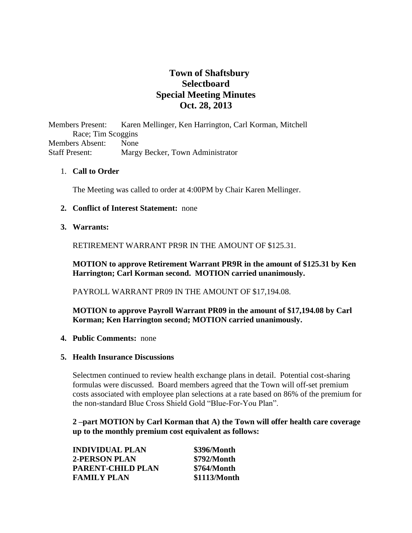# **Town of Shaftsbury Selectboard Special Meeting Minutes Oct. 28, 2013**

Members Present: Karen Mellinger, Ken Harrington, Carl Korman, Mitchell Race; Tim Scoggins Members Absent: None Staff Present: Margy Becker, Town Administrator

# 1. **Call to Order**

The Meeting was called to order at 4:00PM by Chair Karen Mellinger.

## **2. Conflict of Interest Statement:** none

## **3. Warrants:**

RETIREMENT WARRANT PR9R IN THE AMOUNT OF \$125.31.

**MOTION to approve Retirement Warrant PR9R in the amount of \$125.31 by Ken Harrington; Carl Korman second. MOTION carried unanimously.**

PAYROLL WARRANT PR09 IN THE AMOUNT OF \$17,194.08.

# **MOTION to approve Payroll Warrant PR09 in the amount of \$17,194.08 by Carl Korman; Ken Harrington second; MOTION carried unanimously.**

**4. Public Comments:** none

#### **5. Health Insurance Discussions**

Selectmen continued to review health exchange plans in detail. Potential cost-sharing formulas were discussed. Board members agreed that the Town will off-set premium costs associated with employee plan selections at a rate based on 86% of the premium for the non-standard Blue Cross Shield Gold "Blue-For-You Plan".

**2 –part MOTION by Carl Korman that A) the Town will offer health care coverage up to the monthly premium cost equivalent as follows:**

| <b>INDIVIDUAL PLAN</b> | \$396/Month  |
|------------------------|--------------|
| 2-PERSON PLAN          | \$792/Month  |
| PARENT-CHILD PLAN      | \$764/Month  |
| <b>FAMILY PLAN</b>     | \$1113/Month |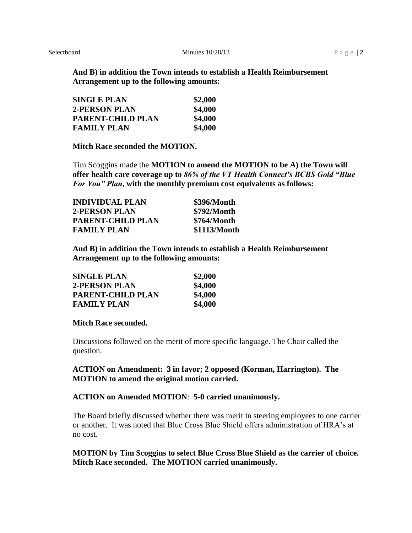**And B) in addition the Town intends to establish a Health Reimbursement Arrangement up to the following amounts:**

| <b>SINGLE PLAN</b> | \$2,000 |
|--------------------|---------|
| 2-PERSON PLAN      | \$4,000 |
| PARENT-CHILD PLAN  | \$4,000 |
| <b>FAMILY PLAN</b> | \$4,000 |

**Mitch Race seconded the MOTION.**

Tim Scoggins made the **MOTION to amend the MOTION to be A) the Town will offer health care coverage up to** *86% of the VT Health Connect's BCBS Gold "Blue For You" Plan***, with the monthly premium cost equivalents as follows:**

| <b>INDIVIDUAL PLAN</b>   | \$396/Month  |
|--------------------------|--------------|
| <b>2-PERSON PLAN</b>     | \$792/Month  |
| <b>PARENT-CHILD PLAN</b> | \$764/Month  |
| <b>FAMILY PLAN</b>       | \$1113/Month |

**And B) in addition the Town intends to establish a Health Reimbursement Arrangement up to the following amounts:**

| <b>SINGLE PLAN</b> | \$2,000 |
|--------------------|---------|
| 2-PERSON PLAN      | \$4,000 |
| PARENT-CHILD PLAN  | \$4,000 |
| <b>FAMILY PLAN</b> | \$4,000 |

#### **Mitch Race seconded.**

Discussions followed on the merit of more specific language. The Chair called the question.

## **ACTION on Amendment: 3 in favor; 2 opposed (Korman, Harrington). The MOTION to amend the original motion carried.**

# **ACTION on Amended MOTION**: **5-0 carried unanimously.**

The Board briefly discussed whether there was merit in steering employees to one carrier or another. It was noted that Blue Cross Blue Shield offers administration of HRA's at no cost.

**MOTION by Tim Scoggins to select Blue Cross Blue Shield as the carrier of choice. Mitch Race seconded. The MOTION carried unanimously.**